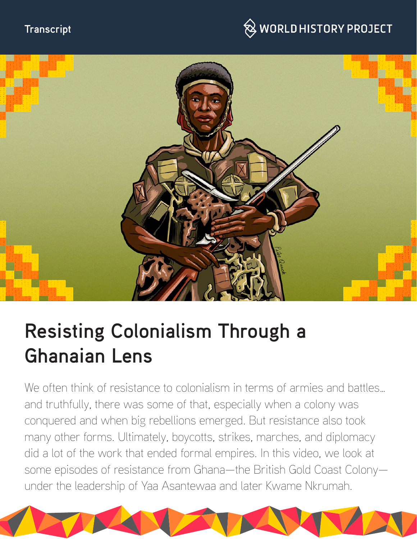## **Transcript**

## $\hspace{0.1cm}\raisebox{0.6ex}{\text{\circle*{1.5}}}\otimes$  WORLD HISTORY PROJECT



# **Resisting Colonialism Through a Ghanaian Lens**

We often think of resistance to colonialism in terms of armies and battles... and truthfully, there was some of that, especially when a colony was conquered and when big rebellions emerged. But resistance also took many other forms. Ultimately, boycotts, strikes, marches, and diplomacy did a lot of the work that ended formal empires. In this video, we look at some episodes of resistance from Ghana—the British Gold Coast Colony under the leadership of Yaa Asantewaa and later Kwame Nkrumah.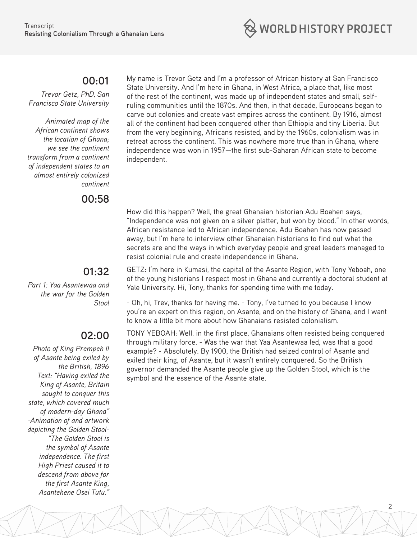

#### **00:01**

*Trevor Getz, PhD, San Francisco State University*

*Animated map of the African continent shows the location of Ghana; we see the continent transform from a continent of independent states to an almost entirely colonized continent*

**00:58**

## **01:32**

*Part 1: Yaa Asantewaa and the war for the Golden Stool*

## **02:00**

*Photo of King Prempeh II of Asante being exiled by the British, 1896 Text: "Having exiled the King of Asante, Britain sought to conquer this state, which covered much of modern-day Ghana" -Animation of and artwork depicting the Golden Stool- "The Golden Stool is the symbol of Asante independence. The first High Priest caused it to descend from above for the first Asante King, Asantehene Osei Tutu."* 

My name is Trevor Getz and I'm a professor of African history at San Francisco State University. And I'm here in Ghana, in West Africa, a place that, like most of the rest of the continent, was made up of independent states and small, selfruling communities until the 1870s. And then, in that decade, Europeans began to carve out colonies and create vast empires across the continent. By 1916, almost all of the continent had been conquered other than Ethiopia and tiny Liberia. But from the very beginning, Africans resisted, and by the 1960s, colonialism was in retreat across the continent. This was nowhere more true than in Ghana, where independence was won in 1957—the first sub-Saharan African state to become independent.

How did this happen? Well, the great Ghanaian historian Adu Boahen says, "Independence was not given on a silver platter, but won by blood." In other words, African resistance led to African independence. Adu Boahen has now passed away, but I'm here to interview other Ghanaian historians to find out what the secrets are and the ways in which everyday people and great leaders managed to resist colonial rule and create independence in Ghana.

GETZ: I'm here in Kumasi, the capital of the Asante Region, with Tony Yeboah, one of the young historians I respect most in Ghana and currently a doctoral student at Yale University. Hi, Tony, thanks for spending time with me today.

- Oh, hi, Trev, thanks for having me. - Tony, I've turned to you because I know you're an expert on this region, on Asante, and on the history of Ghana, and I want to know a little bit more about how Ghanaians resisted colonialism.

TONY YEBOAH: Well, in the first place, Ghanaians often resisted being conquered through military force. - Was the war that Yaa Asantewaa led, was that a good example? - Absolutely. By 1900, the British had seized control of Asante and exiled their king, of Asante, but it wasn't entirely conquered. So the British governor demanded the Asante people give up the Golden Stool, which is the symbol and the essence of the Asante state.

2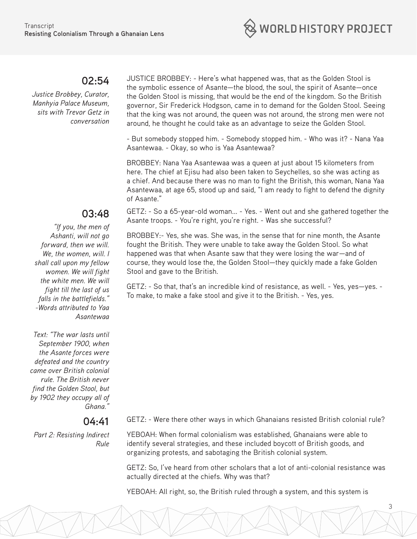

#### **02:54**

*Justice Brobbey, Curator, Manhyia Palace Museum, sits with Trevor Getz in conversation*

**03:48** 

*"If you, the men of Ashanti, will not go forward, then we will. We, the women, will. I shall call upon my fellow women. We will fight the white men. We will fight till the last of us falls in the battlefields." -Words attributed to Yaa Asantewaa*

*Text: "The war lasts until September 1900, when the Asante forces were defeated and the country came over British colonial rule. The British never find the Golden Stool, but by 1902 they occupy all of Ghana."*

#### **04:41**

*Part 2: Resisting Indirect Rule* JUSTICE BROBBEY: - Here's what happened was, that as the Golden Stool is the symbolic essence of Asante—the blood, the soul, the spirit of Asante—once the Golden Stool is missing, that would be the end of the kingdom. So the British governor, Sir Frederick Hodgson, came in to demand for the Golden Stool. Seeing that the king was not around, the queen was not around, the strong men were not around, he thought he could take as an advantage to seize the Golden Stool.

- But somebody stopped him. - Somebody stopped him. - Who was it? - Nana Yaa Asantewaa. - Okay, so who is Yaa Asantewaa?

BROBBEY: Nana Yaa Asantewaa was a queen at just about 15 kilometers from here. The chief at Ejisu had also been taken to Seychelles, so she was acting as a chief. And because there was no man to fight the British, this woman, Nana Yaa Asantewaa, at age 65, stood up and said, "I am ready to fight to defend the dignity of Asante."

GETZ: - So a 65-year-old woman... - Yes. - Went out and she gathered together the Asante troops. - You're right, you're right. - Was she successful?

BROBBEY:- Yes, she was. She was, in the sense that for nine month, the Asante fought the British. They were unable to take away the Golden Stool. So what happened was that when Asante saw that they were losing the war—and of course, they would lose the, the Golden Stool—they quickly made a fake Golden Stool and gave to the British.

GETZ: - So that, that's an incredible kind of resistance, as well. - Yes, yes—yes. - To make, to make a fake stool and give it to the British. - Yes, yes.

GETZ: - Were there other ways in which Ghanaians resisted British colonial rule?

YEBOAH: When formal colonialism was established, Ghanaians were able to identify several strategies, and these included boycott of British goods, and organizing protests, and sabotaging the British colonial system.

GETZ: So, I've heard from other scholars that a lot of anti-colonial resistance was actually directed at the chiefs. Why was that?

3

YEBOAH: All right, so, the British ruled through a system, and this system is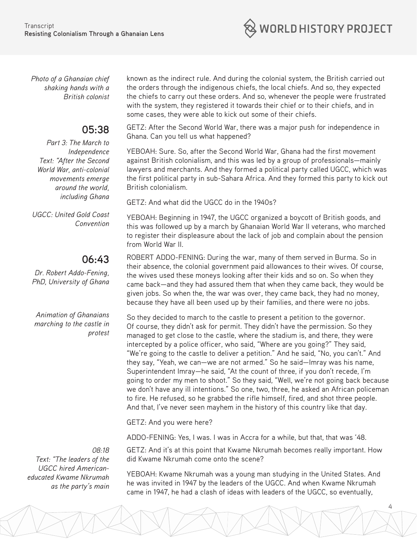**WORLD HISTORY PROJECT** 

*Photo of a Ghanaian chief shaking hands with a British colonist*

## **05:38**

*Part 3: The March to Independence Text: "After the Second World War, anti-colonial movements emerge around the world, including Ghana*

*UGCC: United Gold Coast Convention*

## **06:43**

*Dr. Robert Addo-Fening, PhD, University of Ghana*

*Animation of Ghanaians marching to the castle in protest*

*08:18 Text: "The leaders of the UGCC hired Americaneducated Kwame Nkrumah as the party's main* known as the indirect rule. And during the colonial system, the British carried out the orders through the indigenous chiefs, the local chiefs. And so, they expected the chiefs to carry out these orders. And so, whenever the people were frustrated with the system, they registered it towards their chief or to their chiefs, and in some cases, they were able to kick out some of their chiefs.

GETZ: After the Second World War, there was a major push for independence in Ghana. Can you tell us what happened?

YEBOAH: Sure. So, after the Second World War, Ghana had the first movement against British colonialism, and this was led by a group of professionals—mainly lawyers and merchants. And they formed a political party called UGCC, which was the first political party in sub-Sahara Africa. And they formed this party to kick out British colonialism.

GETZ: And what did the UGCC do in the 1940s?

YEBOAH: Beginning in 1947, the UGCC organized a boycott of British goods, and this was followed up by a march by Ghanaian World War II veterans, who marched to register their displeasure about the lack of job and complain about the pension from World War II.

ROBERT ADDO-FENING: During the war, many of them served in Burma. So in their absence, the colonial government paid allowances to their wives. Of course, the wives used these moneys looking after their kids and so on. So when they came back—and they had assured them that when they came back, they would be given jobs. So when the, the war was over, they came back, they had no money, because they have all been used up by their families, and there were no jobs.

So they decided to march to the castle to present a petition to the governor. Of course, they didn't ask for permit. They didn't have the permission. So they managed to get close to the castle, where the stadium is, and there, they were intercepted by a police officer, who said, "Where are you going?" They said, "We're going to the castle to deliver a petition." And he said, "No, you can't." And they say, "Yeah, we can—we are not armed." So he said—Imray was his name, Superintendent Imray—he said, "At the count of three, if you don't recede, I'm going to order my men to shoot." So they said, "Well, we're not going back because we don't have any ill intentions." So one, two, three, he asked an African policeman to fire. He refused, so he grabbed the rifle himself, fired, and shot three people. And that, I've never seen mayhem in the history of this country like that day.

GETZ: And you were here?

ADDO-FENING: Yes, I was. I was in Accra for a while, but that, that was '48.

GETZ: And it's at this point that Kwame Nkrumah becomes really important. How did Kwame Nkrumah come onto the scene?

YEBOAH: Kwame Nkrumah was a young man studying in the United States. And he was invited in 1947 by the leaders of the UGCC. And when Kwame Nkrumah came in 1947, he had a clash of ideas with leaders of the UGCC, so eventually,

4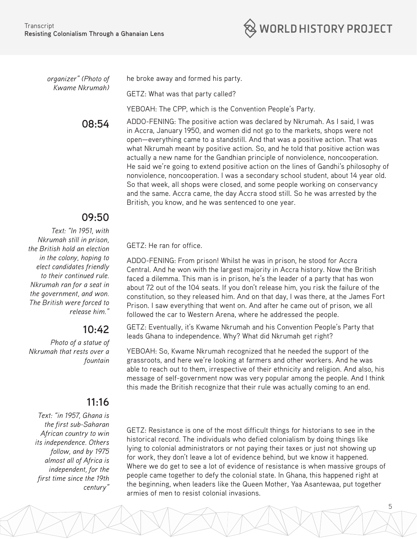

*organizer" (Photo of Kwame Nkrumah)* he broke away and formed his party.

GETZ: What was that party called?

YEBOAH: The CPP, which is the Convention People's Party.

**08:54** ADDO-FENING: The positive action was declared by Nkrumah. As I said, I was in Accra, January 1950, and women did not go to the markets, shops were not open—everything came to a standstill. And that was a positive action. That was what Nkrumah meant by positive action. So, and he told that positive action was actually a new name for the Gandhian principle of nonviolence, noncooperation. He said we're going to extend positive action on the lines of Gandhi's philosophy of nonviolence, noncooperation. I was a secondary school student, about 14 year old. So that week, all shops were closed, and some people working on conservancy and the same. Accra came, the day Accra stood still. So he was arrested by the British, you know, and he was sentenced to one year.

## **09:50**

*Text: "In 1951, with Nkrumah still in prison, the British hold an election in the colony, hoping to elect candidates friendly to their continued rule. Nkrumah ran for a seat in the government, and won. The British were forced to release him."*

## **10:42**

*Photo of a statue of Nkrumah that rests over a fountain*

## **11:16**

*Text: "in 1957, Ghana is the first sub-Saharan African country to win its independence. Others follow, and by 1975 almost all of Africa is independent, for the first time since the 19th century"*

GETZ: He ran for office.

ADDO-FENING: From prison! Whilst he was in prison, he stood for Accra Central. And he won with the largest majority in Accra history. Now the British faced a dilemma. This man is in prison, he's the leader of a party that has won about 72 out of the 104 seats. If you don't release him, you risk the failure of the constitution, so they released him. And on that day, I was there, at the James Fort Prison. I saw everything that went on. And after he came out of prison, we all followed the car to Western Arena, where he addressed the people.

GETZ: Eventually, it's Kwame Nkrumah and his Convention People's Party that leads Ghana to independence. Why? What did Nkrumah get right?

YEBOAH: So, Kwame Nkrumah recognized that he needed the support of the grassroots, and here we're looking at farmers and other workers. And he was able to reach out to them, irrespective of their ethnicity and religion. And also, his message of self-government now was very popular among the people. And I think this made the British recognize that their rule was actually coming to an end.

GETZ: Resistance is one of the most difficult things for historians to see in the historical record. The individuals who defied colonialism by doing things like lying to colonial administrators or not paying their taxes or just not showing up for work, they don't leave a lot of evidence behind, but we know it happened. Where we do get to see a lot of evidence of resistance is when massive groups of people came together to defy the colonial state. In Ghana, this happened right at the beginning, when leaders like the Queen Mother, Yaa Asantewaa, put together armies of men to resist colonial invasions.

5